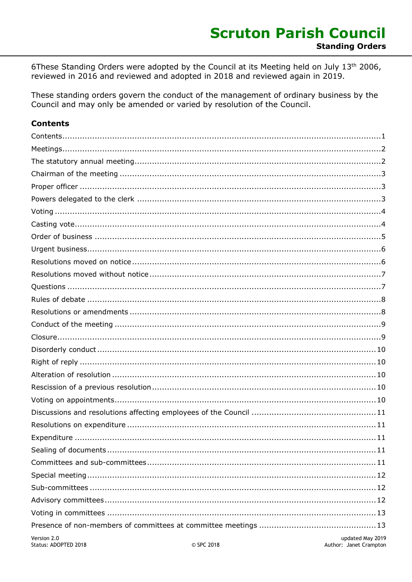6These Standing Orders were adopted by the Council at its Meeting held on July 13th 2006, reviewed in 2016 and reviewed and adopted in 2018 and reviewed again in 2019.

These standing orders govern the conduct of the management of ordinary business by the Council and may only be amended or varied by resolution of the Council.

#### <span id="page-0-0"></span>**Contents**

| Version 2.0 | undated May 2019 |
|-------------|------------------|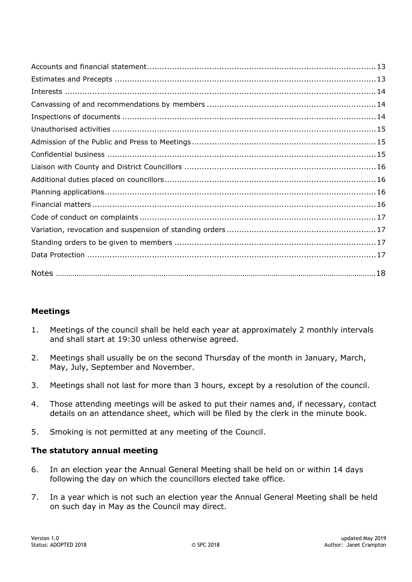# <span id="page-1-0"></span>**Meetings**

- 1. Meetings of the council shall be held each year at approximately 2 monthly intervals and shall start at 19:30 unless otherwise agreed.
- 2. Meetings shall usually be on the second Thursday of the month in January, March, May, July, September and November.
- 3. Meetings shall not last for more than 3 hours, except by a resolution of the council.
- 4. Those attending meetings will be asked to put their names and, if necessary, contact details on an attendance sheet, which will be filed by the clerk in the minute book.
- 5. Smoking is not permitted at any meeting of the Council.

# <span id="page-1-1"></span>**The statutory annual meeting**

- 6. In an election year the Annual General Meeting shall be held on or within 14 days following the day on which the councillors elected take office.
- 7. In a year which is not such an election year the Annual General Meeting shall be held on such day in May as the Council may direct.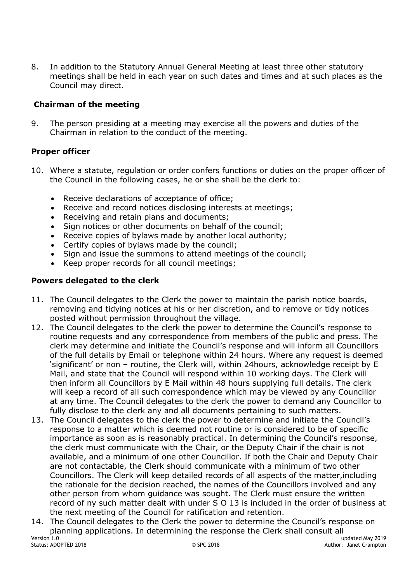8. In addition to the Statutory Annual General Meeting at least three other statutory meetings shall be held in each year on such dates and times and at such places as the Council may direct.

# <span id="page-2-0"></span>**Chairman of the meeting**

9. The person presiding at a meeting may exercise all the powers and duties of the Chairman in relation to the conduct of the meeting.

# <span id="page-2-1"></span>**Proper officer**

- 10. Where a statute, regulation or order confers functions or duties on the proper officer of the Council in the following cases, he or she shall be the clerk to:
	- Receive declarations of acceptance of office;
	- Receive and record notices disclosing interests at meetings;
	- Receiving and retain plans and documents;
	- Sign notices or other documents on behalf of the council;
	- Receive copies of bylaws made by another local authority;
	- Certify copies of bylaws made by the council;
	- Sign and issue the summons to attend meetings of the council;
	- Keep proper records for all council meetings;

# <span id="page-2-2"></span>**Powers delegated to the clerk**

- 11. The Council delegates to the Clerk the power to maintain the parish notice boards, removing and tidying notices at his or her discretion, and to remove or tidy notices posted without permission throughout the village.
- 12. The Council delegates to the clerk the power to determine the Council's response to routine requests and any correspondence from members of the public and press. The clerk may determine and initiate the Council's response and will inform all Councillors of the full details by Email or telephone within 24 hours. Where any request is deemed 'significant' or non – routine, the Clerk will, within 24hours, acknowledge receipt by E Mail, and state that the Council will respond within 10 working days. The Clerk will then inform all Councillors by E Mail within 48 hours supplying full details. The clerk will keep a record of all such correspondence which may be viewed by any Councillor at any time. The Council delegates to the clerk the power to demand any Councillor to fully disclose to the clerk any and all documents pertaining to such matters.
- 13. The Council delegates to the clerk the power to determine and initiate the Council's response to a matter which is deemed not routine or is considered to be of specific importance as soon as is reasonably practical. In determining the Council's response, the clerk must communicate with the Chair, or the Deputy Chair if the chair is not available, and a minimum of one other Councillor. If both the Chair and Deputy Chair are not contactable, the Clerk should communicate with a minimum of two other Councillors. The Clerk will keep detailed records of all aspects of the matter,including the rationale for the decision reached, the names of the Councillors involved and any other person from whom guidance was sought. The Clerk must ensure the written record of ny such matter dealt with under S O 13 is included in the order of business at the next meeting of the Council for ratification and retention.
- Version 1.0 updated May 2019<br>
Section 1.0 updated May 2019<br>
Compared Contract Compared May 2018<br>
Compared Contract Compared May 2018<br>
Compared May 2018<br>
Compared May 2019 14. The Council delegates to the Clerk the power to determine the Council's response on planning applications. In determining the response the Clerk shall consult all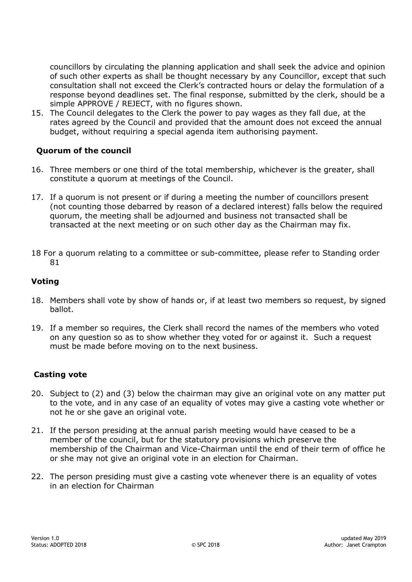councillors by circulating the planning application and shall seek the advice and opinion of such other experts as shall be thought necessary by any Councillor, except that such consultation shall not exceed the Clerk's contracted hours or delay the formulation of a response beyond deadlines set. The final response, submitted by the clerk, should be a simple APPROVE / REJECT, with no figures shown.

15. The Council delegates to the Clerk the power to pay wages as they fall due, at the rates agreed by the Council and provided that the amount does not exceed the annual budget, without requiring a special agenda item authorising payment.

## **Quorum of the council**

- 16. Three members or one third of the total membership, whichever is the greater, shall constitute a quorum at meetings of the Council.
- 17. If a quorum is not present or if during a meeting the number of councillors present (not counting those debarred by reason of a declared interest) falls below the required quorum, the meeting shall be adjourned and business not transacted shall be transacted at the next meeting or on such other day as the Chairman may fix.
- 18 For a quorum relating to a committee or sub-committee, please refer to Standing order 81

# <span id="page-3-0"></span>**Voting**

- 18. Members shall vote by show of hands or, if at least two members so request, by signed ballot.
- 19. If a member so requires, the Clerk shall record the names of the members who voted on any question so as to show whether they voted for or against it. Such a request must be made before moving on to the next business.

# <span id="page-3-1"></span>**Casting vote**

- 20. Subject to (2) and (3) below the chairman may give an original vote on any matter put to the vote, and in any case of an equality of votes may give a casting vote whether or not he or she gave an original vote.
- 21. If the person presiding at the annual parish meeting would have ceased to be a member of the council, but for the statutory provisions which preserve the membership of the Chairman and Vice-Chairman until the end of their term of office he or she may not give an original vote in an election for Chairman.
- 22. The person presiding must give a casting vote whenever there is an equality of votes in an election for Chairman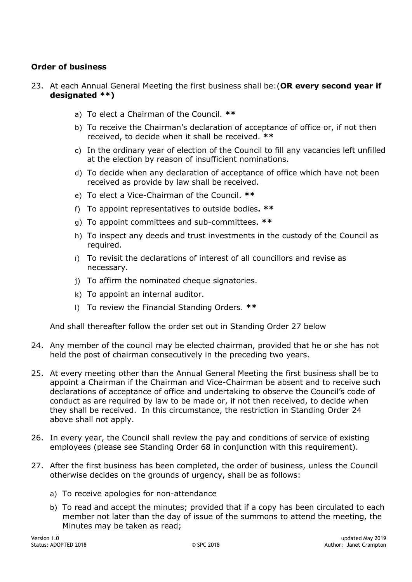# <span id="page-4-0"></span>**Order of business**

- 23. At each Annual General Meeting the first business shall be:(**OR every second year if designated \*\*)**
	- a) To elect a Chairman of the Council. **\*\***
	- b) To receive the Chairman's declaration of acceptance of office or, if not then received, to decide when it shall be received. **\*\***
	- c) In the ordinary year of election of the Council to fill any vacancies left unfilled at the election by reason of insufficient nominations.
	- d) To decide when any declaration of acceptance of office which have not been received as provide by law shall be received.
	- e) To elect a Vice-Chairman of the Council. **\*\***
	- f) To appoint representatives to outside bodies**. \*\***
	- g) To appoint committees and sub-committees. **\*\***
	- h) To inspect any deeds and trust investments in the custody of the Council as required.
	- i) To revisit the declarations of interest of all councillors and revise as necessary.
	- j) To affirm the nominated cheque signatories.
	- k) To appoint an internal auditor.
	- l) To review the Financial Standing Orders. **\*\***

And shall thereafter follow the order set out in Standing Order [27](#page-4-1) below

- <span id="page-4-2"></span>24. Any member of the council may be elected chairman, provided that he or she has not held the post of chairman consecutively in the preceding two years.
- 25. At every meeting other than the Annual General Meeting the first business shall be to appoint a Chairman if the Chairman and Vice-Chairman be absent and to receive such declarations of acceptance of office and undertaking to observe the Council's code of conduct as are required by law to be made or, if not then received, to decide when they shall be received. In this circumstance, the restriction in Standing Order [24](#page-4-2) above shall not apply.
- 26. In every year, the Council shall review the pay and conditions of service of existing employees (please see Standing Order [68](#page-10-5) in conjunction with this requirement).
- <span id="page-4-1"></span>27. After the first business has been completed, the order of business, unless the Council otherwise decides on the grounds of urgency, shall be as follows:
	- a) To receive apologies for non-attendance
	- b) To read and accept the minutes; provided that if a copy has been circulated to each member not later than the day of issue of the summons to attend the meeting, the Minutes may be taken as read;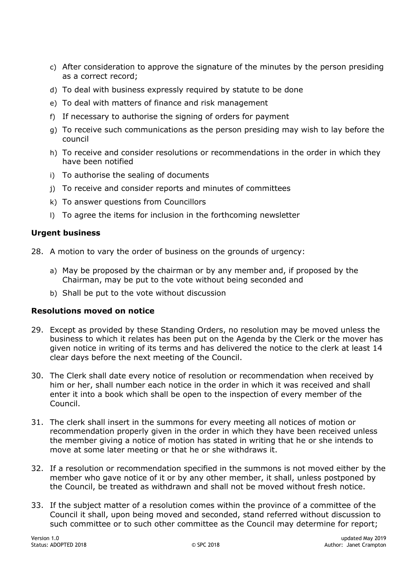- c) After consideration to approve the signature of the minutes by the person presiding as a correct record;
- d) To deal with business expressly required by statute to be done
- e) To deal with matters of finance and risk management
- f) If necessary to authorise the signing of orders for payment
- g) To receive such communications as the person presiding may wish to lay before the council
- h) To receive and consider resolutions or recommendations in the order in which they have been notified
- i) To authorise the sealing of documents
- j) To receive and consider reports and minutes of committees
- k) To answer questions from Councillors
- l) To agree the items for inclusion in the forthcoming newsletter

#### <span id="page-5-0"></span>**Urgent business**

- 28. A motion to vary the order of business on the grounds of urgency:
	- a) May be proposed by the chairman or by any member and, if proposed by the Chairman, may be put to the vote without being seconded and
	- b) Shall be put to the vote without discussion

#### <span id="page-5-1"></span>**Resolutions moved on notice**

- 29. Except as provided by these Standing Orders, no resolution may be moved unless the business to which it relates has been put on the Agenda by the Clerk or the mover has given notice in writing of its terms and has delivered the notice to the clerk at least 14 clear days before the next meeting of the Council.
- 30. The Clerk shall date every notice of resolution or recommendation when received by him or her, shall number each notice in the order in which it was received and shall enter it into a book which shall be open to the inspection of every member of the Council.
- 31. The clerk shall insert in the summons for every meeting all notices of motion or recommendation properly given in the order in which they have been received unless the member giving a notice of motion has stated in writing that he or she intends to move at some later meeting or that he or she withdraws it.
- 32. If a resolution or recommendation specified in the summons is not moved either by the member who gave notice of it or by any other member, it shall, unless postponed by the Council, be treated as withdrawn and shall not be moved without fresh notice.
- 33. If the subject matter of a resolution comes within the province of a committee of the Council it shall, upon being moved and seconded, stand referred without discussion to such committee or to such other committee as the Council may determine for report;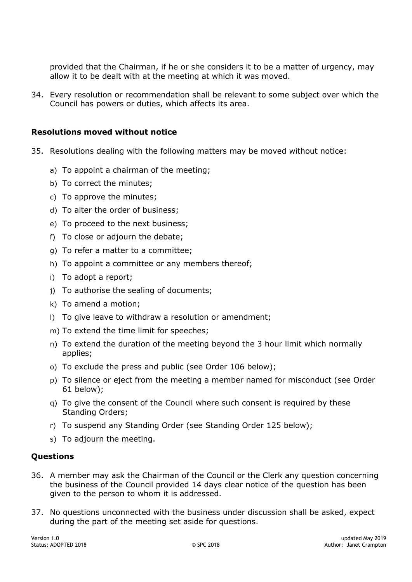provided that the Chairman, if he or she considers it to be a matter of urgency, may allow it to be dealt with at the meeting at which it was moved.

34. Every resolution or recommendation shall be relevant to some subject over which the Council has powers or duties, which affects its area.

#### <span id="page-6-0"></span>**Resolutions moved without notice**

- 35. Resolutions dealing with the following matters may be moved without notice:
	- a) To appoint a chairman of the meeting;
	- b) To correct the minutes;
	- c) To approve the minutes;
	- d) To alter the order of business;
	- e) To proceed to the next business;
	- f) To close or adjourn the debate;
	- g) To refer a matter to a committee;
	- h) To appoint a committee or any members thereof;
	- i) To adopt a report;
	- j) To authorise the sealing of documents;
	- k) To amend a motion;
	- l) To give leave to withdraw a resolution or amendment;
	- m) To extend the time limit for speeches;
	- n) To extend the duration of the meeting beyond the 3 hour limit which normally applies;
	- o) To exclude the press and public (see Order [106](#page-14-3) below);
	- p) To silence or eject from the meeting a member named for misconduct (see Order [61](#page-9-5) below);
	- q) To give the consent of the Council where such consent is required by these Standing Orders;
	- r) To suspend any Standing Order (see Standing Order [125](#page-16-4) below);
	- s) To adjourn the meeting.

#### <span id="page-6-1"></span>**Questions**

- 36. A member may ask the Chairman of the Council or the Clerk any question concerning the business of the Council provided 14 days clear notice of the question has been given to the person to whom it is addressed.
- 37. No questions unconnected with the business under discussion shall be asked, expect during the part of the meeting set aside for questions.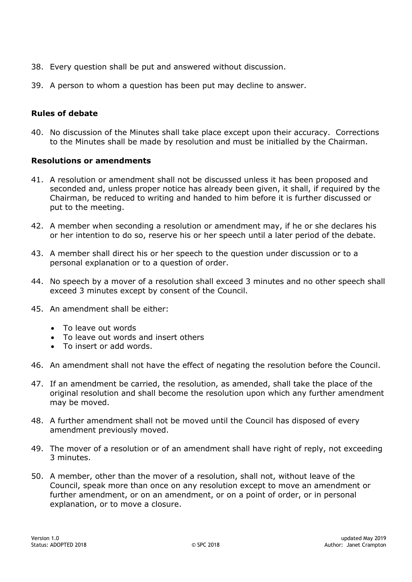- 38. Every question shall be put and answered without discussion.
- 39. A person to whom a question has been put may decline to answer.

# <span id="page-7-0"></span>**Rules of debate**

40. No discussion of the Minutes shall take place except upon their accuracy. Corrections to the Minutes shall be made by resolution and must be initialled by the Chairman.

#### <span id="page-7-1"></span>**Resolutions or amendments**

- 41. A resolution or amendment shall not be discussed unless it has been proposed and seconded and, unless proper notice has already been given, it shall, if required by the Chairman, be reduced to writing and handed to him before it is further discussed or put to the meeting.
- 42. A member when seconding a resolution or amendment may, if he or she declares his or her intention to do so, reserve his or her speech until a later period of the debate.
- 43. A member shall direct his or her speech to the question under discussion or to a personal explanation or to a question of order.
- 44. No speech by a mover of a resolution shall exceed 3 minutes and no other speech shall exceed 3 minutes except by consent of the Council.
- 45. An amendment shall be either:
	- To leave out words
	- To leave out words and insert others
	- To insert or add words.
- 46. An amendment shall not have the effect of negating the resolution before the Council.
- 47. If an amendment be carried, the resolution, as amended, shall take the place of the original resolution and shall become the resolution upon which any further amendment may be moved.
- 48. A further amendment shall not be moved until the Council has disposed of every amendment previously moved.
- 49. The mover of a resolution or of an amendment shall have right of reply, not exceeding 3 minutes.
- 50. A member, other than the mover of a resolution, shall not, without leave of the Council, speak more than once on any resolution except to move an amendment or further amendment, or on an amendment, or on a point of order, or in personal explanation, or to move a closure.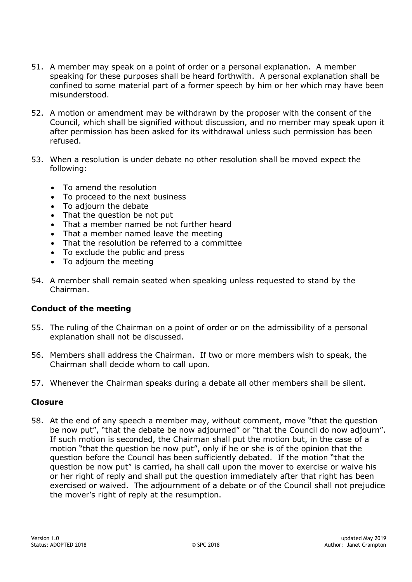- 51. A member may speak on a point of order or a personal explanation. A member speaking for these purposes shall be heard forthwith. A personal explanation shall be confined to some material part of a former speech by him or her which may have been misunderstood.
- 52. A motion or amendment may be withdrawn by the proposer with the consent of the Council, which shall be signified without discussion, and no member may speak upon it after permission has been asked for its withdrawal unless such permission has been refused.
- 53. When a resolution is under debate no other resolution shall be moved expect the following:
	- To amend the resolution
	- To proceed to the next business
	- To adjourn the debate
	- That the question be not put
	- That a member named be not further heard
	- That a member named leave the meeting
	- That the resolution be referred to a committee
	- To exclude the public and press
	- To adjourn the meeting
- 54. A member shall remain seated when speaking unless requested to stand by the Chairman.

#### <span id="page-8-0"></span>**Conduct of the meeting**

- 55. The ruling of the Chairman on a point of order or on the admissibility of a personal explanation shall not be discussed.
- 56. Members shall address the Chairman. If two or more members wish to speak, the Chairman shall decide whom to call upon.
- 57. Whenever the Chairman speaks during a debate all other members shall be silent.

#### <span id="page-8-1"></span>**Closure**

58. At the end of any speech a member may, without comment, move "that the question be now put", "that the debate be now adjourned" or "that the Council do now adjourn". If such motion is seconded, the Chairman shall put the motion but, in the case of a motion "that the question be now put", only if he or she is of the opinion that the question before the Council has been sufficiently debated. If the motion "that the question be now put" is carried, ha shall call upon the mover to exercise or waive his or her right of reply and shall put the question immediately after that right has been exercised or waived. The adjournment of a debate or of the Council shall not prejudice the mover's right of reply at the resumption.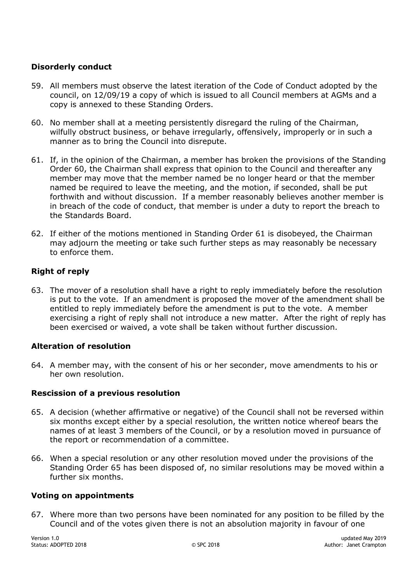# <span id="page-9-0"></span>**Disorderly conduct**

- 59. All members must observe the latest iteration of the Code of Conduct adopted by the council, on 12/09/19 a copy of which is issued to all Council members at AGMs and a copy is annexed to these Standing Orders.
- <span id="page-9-6"></span>60. No member shall at a meeting persistently disregard the ruling of the Chairman, wilfully obstruct business, or behave irregularly, offensively, improperly or in such a manner as to bring the Council into disrepute.
- <span id="page-9-5"></span>61. If, in the opinion of the Chairman, a member has broken the provisions of the Standing Order [60,](#page-9-6) the Chairman shall express that opinion to the Council and thereafter any member may move that the member named be no longer heard or that the member named be required to leave the meeting, and the motion, if seconded, shall be put forthwith and without discussion. If a member reasonably believes another member is in breach of the code of conduct, that member is under a duty to report the breach to the Standards Board.
- 62. If either of the motions mentioned in Standing Order [61](#page-9-5) is disobeyed, the Chairman may adjourn the meeting or take such further steps as may reasonably be necessary to enforce them.

# <span id="page-9-1"></span>**Right of reply**

63. The mover of a resolution shall have a right to reply immediately before the resolution is put to the vote. If an amendment is proposed the mover of the amendment shall be entitled to reply immediately before the amendment is put to the vote. A member exercising a right of reply shall not introduce a new matter. After the right of reply has been exercised or waived, a vote shall be taken without further discussion.

#### <span id="page-9-2"></span>**Alteration of resolution**

64. A member may, with the consent of his or her seconder, move amendments to his or her own resolution.

#### <span id="page-9-3"></span>**Rescission of a previous resolution**

- <span id="page-9-7"></span>65. A decision (whether affirmative or negative) of the Council shall not be reversed within six months except either by a special resolution, the written notice whereof bears the names of at least 3 members of the Council, or by a resolution moved in pursuance of the report or recommendation of a committee.
- 66. When a special resolution or any other resolution moved under the provisions of the Standing Order [65](#page-9-7) has been disposed of, no similar resolutions may be moved within a further six months.

#### <span id="page-9-4"></span>**Voting on appointments**

67. Where more than two persons have been nominated for any position to be filled by the Council and of the votes given there is not an absolution majority in favour of one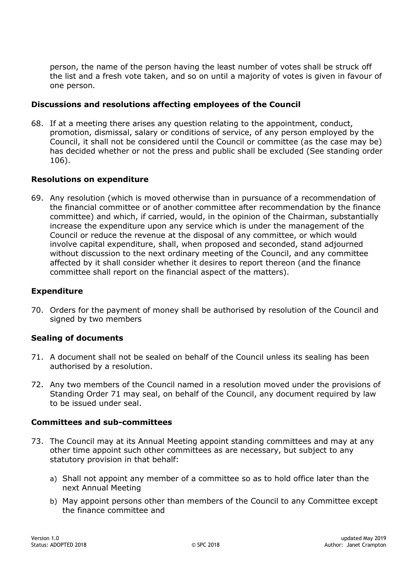person, the name of the person having the least number of votes shall be struck off the list and a fresh vote taken, and so on until a majority of votes is given in favour of one person.

#### <span id="page-10-0"></span>**Discussions and resolutions affecting employees of the Council**

<span id="page-10-5"></span>68. If at a meeting there arises any question relating to the appointment, conduct, promotion, dismissal, salary or conditions of service, of any person employed by the Council, it shall not be considered until the Council or committee (as the case may be) has decided whether or not the press and public shall be excluded (See standing order [106\)](#page-14-3).

#### <span id="page-10-1"></span>**Resolutions on expenditure**

69. Any resolution (which is moved otherwise than in pursuance of a recommendation of the financial committee or of another committee after recommendation by the finance committee) and which, if carried, would, in the opinion of the Chairman, substantially increase the expenditure upon any service which is under the management of the Council or reduce the revenue at the disposal of any committee, or which would involve capital expenditure, shall, when proposed and seconded, stand adjourned without discussion to the next ordinary meeting of the Council, and any committee affected by it shall consider whether it desires to report thereon (and the finance committee shall report on the financial aspect of the matters).

#### <span id="page-10-2"></span>**Expenditure**

70. Orders for the payment of money shall be authorised by resolution of the Council and signed by two members

#### <span id="page-10-3"></span>**Sealing of documents**

- <span id="page-10-6"></span>71. A document shall not be sealed on behalf of the Council unless its sealing has been authorised by a resolution.
- 72. Any two members of the Council named in a resolution moved under the provisions of Standing Order [71](#page-10-6) may seal, on behalf of the Council, any document required by law to be issued under seal.

#### <span id="page-10-4"></span>**Committees and sub-committees**

- 73. The Council may at its Annual Meeting appoint standing committees and may at any other time appoint such other committees as are necessary, but subject to any statutory provision in that behalf:
	- a) Shall not appoint any member of a committee so as to hold office later than the next Annual Meeting
	- b) May appoint persons other than members of the Council to any Committee except the finance committee and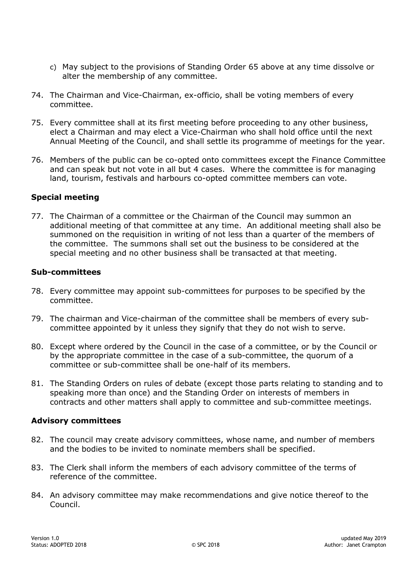- c) May subject to the provisions of Standing Order [65](#page-9-7) above at any time dissolve or alter the membership of any committee.
- 74. The Chairman and Vice-Chairman, ex-officio, shall be voting members of every committee.
- 75. Every committee shall at its first meeting before proceeding to any other business, elect a Chairman and may elect a Vice-Chairman who shall hold office until the next Annual Meeting of the Council, and shall settle its programme of meetings for the year.
- 76. Members of the public can be co-opted onto committees except the Finance Committee and can speak but not vote in all but 4 cases. Where the committee is for managing land, tourism, festivals and harbours co-opted committee members can vote.

#### <span id="page-11-0"></span>**Special meeting**

77. The Chairman of a committee or the Chairman of the Council may summon an additional meeting of that committee at any time. An additional meeting shall also be summoned on the requisition in writing of not less than a quarter of the members of the committee. The summons shall set out the business to be considered at the special meeting and no other business shall be transacted at that meeting.

#### <span id="page-11-1"></span>**Sub-committees**

- 78. Every committee may appoint sub-committees for purposes to be specified by the committee.
- 79. The chairman and Vice-chairman of the committee shall be members of every subcommittee appointed by it unless they signify that they do not wish to serve.
- 80. Except where ordered by the Council in the case of a committee, or by the Council or by the appropriate committee in the case of a sub-committee, the quorum of a committee or sub-committee shall be one-half of its members.
- 81. The Standing Orders on rules of debate (except those parts relating to standing and to speaking more than once) and the Standing Order on interests of members in contracts and other matters shall apply to committee and sub-committee meetings.

#### <span id="page-11-2"></span>**Advisory committees**

- 82. The council may create advisory committees, whose name, and number of members and the bodies to be invited to nominate members shall be specified.
- 83. The Clerk shall inform the members of each advisory committee of the terms of reference of the committee.
- 84. An advisory committee may make recommendations and give notice thereof to the Council.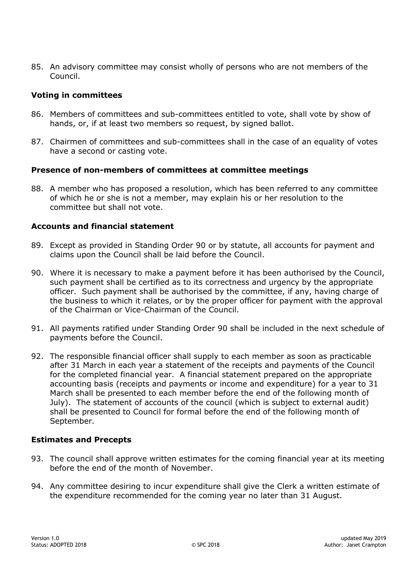85. An advisory committee may consist wholly of persons who are not members of the Council.

# <span id="page-12-0"></span>**Voting in committees**

- 86. Members of committees and sub-committees entitled to vote, shall vote by show of hands, or, if at least two members so request, by signed ballot.
- 87. Chairmen of committees and sub-committees shall in the case of an equality of votes have a second or casting vote.

#### <span id="page-12-1"></span>**Presence of non-members of committees at committee meetings**

88. A member who has proposed a resolution, which has been referred to any committee of which he or she is not a member, may explain his or her resolution to the committee but shall not vote.

#### <span id="page-12-2"></span>**Accounts and financial statement**

- 89. Except as provided in Standing Order [90](#page-12-4) or by statute, all accounts for payment and claims upon the Council shall be laid before the Council.
- <span id="page-12-4"></span>90. Where it is necessary to make a payment before it has been authorised by the Council, such payment shall be certified as to its correctness and urgency by the appropriate officer. Such payment shall be authorised by the committee, if any, having charge of the business to which it relates, or by the proper officer for payment with the approval of the Chairman or Vice-Chairman of the Council.
- 91. All payments ratified under Standing Order [90](#page-12-4) shall be included in the next schedule of payments before the Council.
- 92. The responsible financial officer shall supply to each member as soon as practicable after 31 March in each year a statement of the receipts and payments of the Council for the completed financial year. A financial statement prepared on the appropriate accounting basis (receipts and payments or income and expenditure) for a year to 31 March shall be presented to each member before the end of the following month of July). The statement of accounts of the council (which is subject to external audit) shall be presented to Council for formal before the end of the following month of September.

#### <span id="page-12-3"></span>**Estimates and Precepts**

- 93. The council shall approve written estimates for the coming financial year at its meeting before the end of the month of November.
- 94. Any committee desiring to incur expenditure shall give the Clerk a written estimate of the expenditure recommended for the coming year no later than 31 August.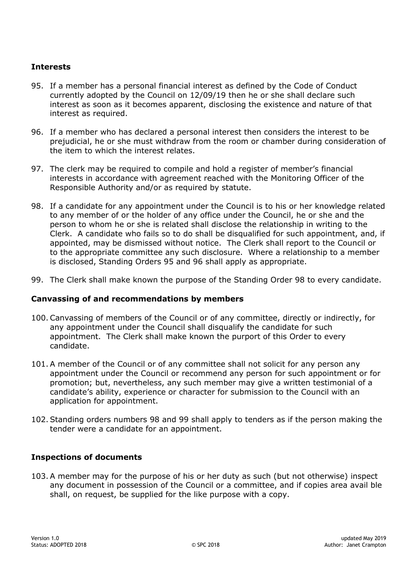# <span id="page-13-0"></span>**Interests**

- <span id="page-13-3"></span>95. If a member has a personal financial interest as defined by the Code of Conduct currently adopted by the Council on 12/09/19 then he or she shall declare such interest as soon as it becomes apparent, disclosing the existence and nature of that interest as required.
- <span id="page-13-4"></span>96. If a member who has declared a personal interest then considers the interest to be prejudicial, he or she must withdraw from the room or chamber during consideration of the item to which the interest relates.
- 97. The clerk may be required to compile and hold a register of member's financial interests in accordance with agreement reached with the Monitoring Officer of the Responsible Authority and/or as required by statute.
- <span id="page-13-5"></span>98. If a candidate for any appointment under the Council is to his or her knowledge related to any member of or the holder of any office under the Council, he or she and the person to whom he or she is related shall disclose the relationship in writing to the Clerk. A candidate who fails so to do shall be disqualified for such appointment, and, if appointed, may be dismissed without notice. The Clerk shall report to the Council or to the appropriate committee any such disclosure. Where a relationship to a member is disclosed, Standing Orders [95](#page-13-3) and [96](#page-13-4) shall apply as appropriate.
- <span id="page-13-6"></span>99. The Clerk shall make known the purpose of the Standing Order [98](#page-13-5) to every candidate.

#### <span id="page-13-1"></span>**Canvassing of and recommendations by members**

- <span id="page-13-7"></span>100. Canvassing of members of the Council or of any committee, directly or indirectly, for any appointment under the Council shall disqualify the candidate for such appointment. The Clerk shall make known the purport of this Order to every candidate.
- <span id="page-13-8"></span>101. A member of the Council or of any committee shall not solicit for any person any appointment under the Council or recommend any person for such appointment or for promotion; but, nevertheless, any such member may give a written testimonial of a candidate's ability, experience or character for submission to the Council with an application for appointment.
- <span id="page-13-9"></span>102. Standing orders numbers [98](#page-13-5) and [99](#page-13-6) shall apply to tenders as if the person making the tender were a candidate for an appointment.

#### <span id="page-13-2"></span>**Inspections of documents**

103. A member may for the purpose of his or her duty as such (but not otherwise) inspect any document in possession of the Council or a committee, and if copies area avail ble shall, on request, be supplied for the like purpose with a copy.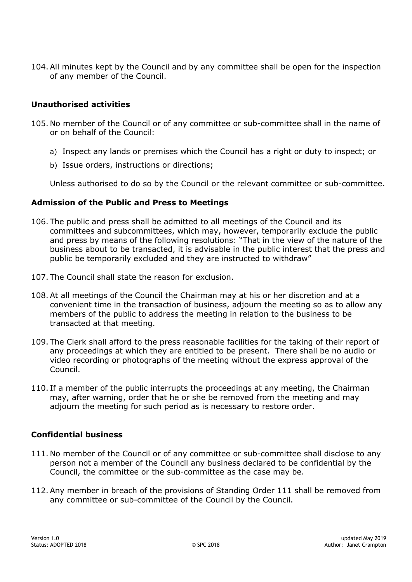104. All minutes kept by the Council and by any committee shall be open for the inspection of any member of the Council.

# <span id="page-14-0"></span>**Unauthorised activities**

- 105. No member of the Council or of any committee or sub-committee shall in the name of or on behalf of the Council:
	- a) Inspect any lands or premises which the Council has a right or duty to inspect; or
	- b) Issue orders, instructions or directions;

Unless authorised to do so by the Council or the relevant committee or sub-committee.

#### <span id="page-14-1"></span>**Admission of the Public and Press to Meetings**

- <span id="page-14-3"></span>106. The public and press shall be admitted to all meetings of the Council and its committees and subcommittees, which may, however, temporarily exclude the public and press by means of the following resolutions: "That in the view of the nature of the business about to be transacted, it is advisable in the public interest that the press and public be temporarily excluded and they are instructed to withdraw"
- 107. The Council shall state the reason for exclusion.
- 108. At all meetings of the Council the Chairman may at his or her discretion and at a convenient time in the transaction of business, adjourn the meeting so as to allow any members of the public to address the meeting in relation to the business to be transacted at that meeting.
- 109. The Clerk shall afford to the press reasonable facilities for the taking of their report of any proceedings at which they are entitled to be present. There shall be no audio or video recording or photographs of the meeting without the express approval of the Council.
- 110. If a member of the public interrupts the proceedings at any meeting, the Chairman may, after warning, order that he or she be removed from the meeting and may adjourn the meeting for such period as is necessary to restore order.

#### <span id="page-14-2"></span>**Confidential business**

- <span id="page-14-4"></span>111. No member of the Council or of any committee or sub-committee shall disclose to any person not a member of the Council any business declared to be confidential by the Council, the committee or the sub-committee as the case may be.
- 112. Any member in breach of the provisions of Standing Order [111](#page-14-4) shall be removed from any committee or sub-committee of the Council by the Council.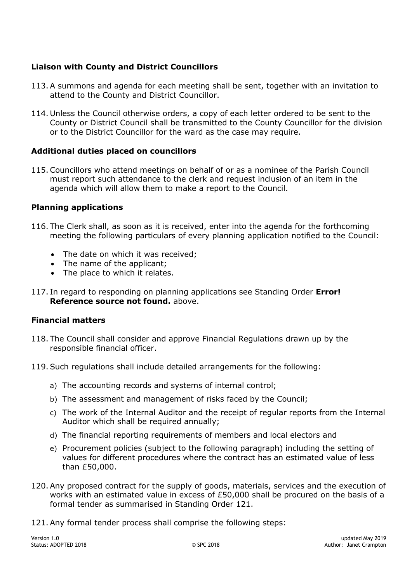# <span id="page-15-0"></span>**Liaison with County and District Councillors**

- 113. A summons and agenda for each meeting shall be sent, together with an invitation to attend to the County and District Councillor.
- 114. Unless the Council otherwise orders, a copy of each letter ordered to be sent to the County or District Council shall be transmitted to the County Councillor for the division or to the District Councillor for the ward as the case may require.

#### <span id="page-15-1"></span>**Additional duties placed on councillors**

115. Councillors who attend meetings on behalf of or as a nominee of the Parish Council must report such attendance to the clerk and request inclusion of an item in the agenda which will allow them to make a report to the Council.

#### <span id="page-15-2"></span>**Planning applications**

- 116. The Clerk shall, as soon as it is received, enter into the agenda for the forthcoming meeting the following particulars of every planning application notified to the Council:
	- The date on which it was received:
	- The name of the applicant;
	- The place to which it relates.
- 117. In regard to responding on planning applications see Standing Order **Error! Reference source not found.** above.

#### <span id="page-15-3"></span>**Financial matters**

- 118. The Council shall consider and approve Financial Regulations drawn up by the responsible financial officer.
- 119. Such regulations shall include detailed arrangements for the following:
	- a) The accounting records and systems of internal control;
	- b) The assessment and management of risks faced by the Council;
	- c) The work of the Internal Auditor and the receipt of regular reports from the Internal Auditor which shall be required annually;
	- d) The financial reporting requirements of members and local electors and
	- e) Procurement policies (subject to the following paragraph) including the setting of values for different procedures where the contract has an estimated value of less than £50,000.
- 120. Any proposed contract for the supply of goods, materials, services and the execution of works with an estimated value in excess of £50,000 shall be procured on the basis of a formal tender as summarised in Standing Order [121.](#page-15-4)
- <span id="page-15-4"></span>121. Any formal tender process shall comprise the following steps: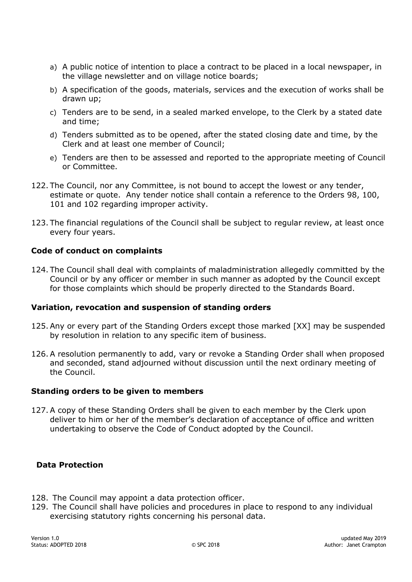- a) A public notice of intention to place a contract to be placed in a local newspaper, in the village newsletter and on village notice boards;
- b) A specification of the goods, materials, services and the execution of works shall be drawn up;
- c) Tenders are to be send, in a sealed marked envelope, to the Clerk by a stated date and time;
- d) Tenders submitted as to be opened, after the stated closing date and time, by the Clerk and at least one member of Council;
- e) Tenders are then to be assessed and reported to the appropriate meeting of Council or Committee.
- 122. The Council, nor any Committee, is not bound to accept the lowest or any tender, estimate or quote. Any tender notice shall contain a reference to the Orders [98,](#page-13-5) [100,](#page-13-7) [101](#page-13-8) and [102](#page-13-9) regarding improper activity.
- 123. The financial regulations of the Council shall be subject to regular review, at least once every four years.

# <span id="page-16-0"></span>**Code of conduct on complaints**

124. The Council shall deal with complaints of maladministration allegedly committed by the Council or by any officer or member in such manner as adopted by the Council except for those complaints which should be properly directed to the Standards Board.

#### <span id="page-16-1"></span>**Variation, revocation and suspension of standing orders**

- <span id="page-16-4"></span>125. Any or every part of the Standing Orders except those marked [XX] may be suspended by resolution in relation to any specific item of business.
- 126. A resolution permanently to add, vary or revoke a Standing Order shall when proposed and seconded, stand adjourned without discussion until the next ordinary meeting of the Council.

#### <span id="page-16-2"></span>**Standing orders to be given to members**

127. A copy of these Standing Orders shall be given to each member by the Clerk upon deliver to him or her of the member's declaration of acceptance of office and written undertaking to observe the Code of Conduct adopted by the Council.

#### <span id="page-16-3"></span> **Data Protection**

- 128. The Council may appoint a data protection officer.
- 129. The Council shall have policies and procedures in place to respond to any individual exercising statutory rights concerning his personal data.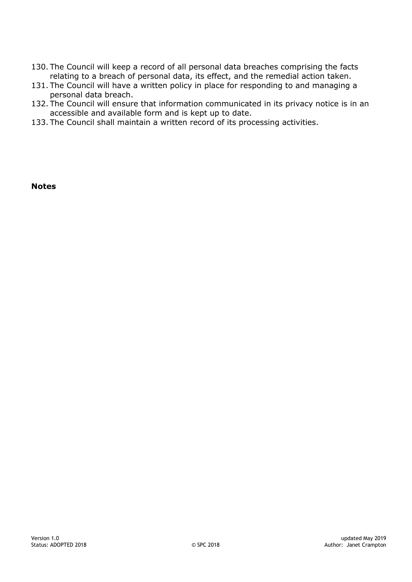- 130. The Council will keep a record of all personal data breaches comprising the facts relating to a breach of personal data, its effect, and the remedial action taken.
- 131. The Council will have a written policy in place for responding to and managing a personal data breach.
- 132. The Council will ensure that information communicated in its privacy notice is in an accessible and available form and is kept up to date.
- 133. The Council shall maintain a written record of its processing activities.

**Notes**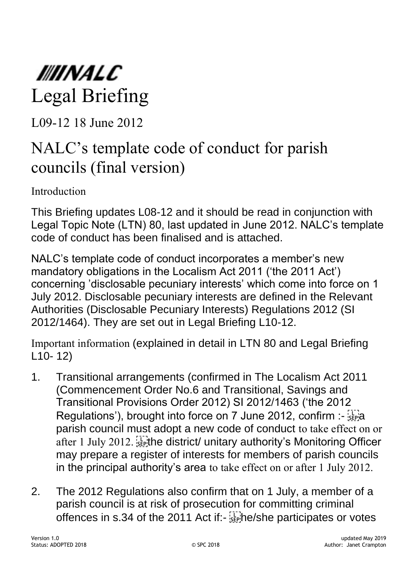

L09-12 18 June 2012

# NALC's template code of conduct for parish councils (final version)

Introduction

This Briefing updates L08-12 and it should be read in conjunction with Legal Topic Note (LTN) 80, last updated in June 2012. NALC's template code of conduct has been finalised and is attached.

NALC's template code of conduct incorporates a member's new mandatory obligations in the Localism Act 2011 ('the 2011 Act') concerning 'disclosable pecuniary interests' which come into force on 1 July 2012. Disclosable pecuniary interests are defined in the Relevant Authorities (Disclosable Pecuniary Interests) Regulations 2012 (SI 2012/1464). They are set out in Legal Briefing L10-12.

Important information (explained in detail in LTN 80 and Legal Briefing L10- 12)

- 1. Transitional arrangements (confirmed in The Localism Act 2011 (Commencement Order No.6 and Transitional, Savings and Transitional Provisions Order 2012) SI 2012/1463 ('the 2012 Regulations'), brought into force on 7 June 2012, confirm :parish council must adopt a new code of conduct to take effect on or after 1 July 2012.  $\frac{1}{2}$  the district/ unitary authority's Monitoring Officer may prepare a register of interests for members of parish councils in the principal authority's area to take effect on or after 1 July 2012.
- 2. The 2012 Regulations also confirm that on 1 July, a member of a parish council is at risk of prosecution for committing criminal offences in s.34 of the 2011 Act if:- he/she participates or votes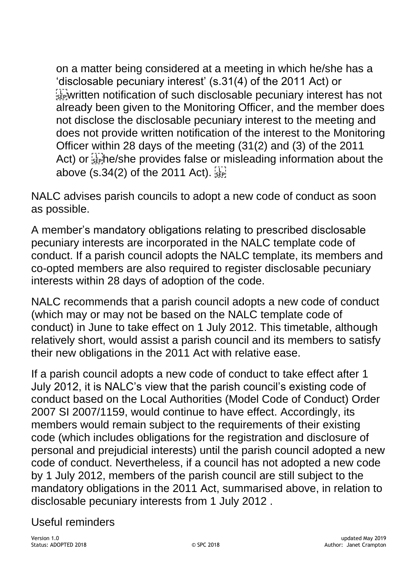on a matter being considered at a meeting in which he/she has a 'disclosable pecuniary interest' (s.31(4) of the 2011 Act) or  $\mathbb{R}^7$  written notification of such disclosable pecuniary interest has not already been given to the Monitoring Officer, and the member does not disclose the disclosable pecuniary interest to the meeting and does not provide written notification of the interest to the Monitoring Officer within 28 days of the meeting (31(2) and (3) of the 2011 Act) or stephe/she provides false or misleading information about the above (s.34(2) of the 2011 Act).  $\frac{1}{35}$ 

NALC advises parish councils to adopt a new code of conduct as soon as possible.

A member's mandatory obligations relating to prescribed disclosable pecuniary interests are incorporated in the NALC template code of conduct. If a parish council adopts the NALC template, its members and co-opted members are also required to register disclosable pecuniary interests within 28 days of adoption of the code.

NALC recommends that a parish council adopts a new code of conduct (which may or may not be based on the NALC template code of conduct) in June to take effect on 1 July 2012. This timetable, although relatively short, would assist a parish council and its members to satisfy their new obligations in the 2011 Act with relative ease.

If a parish council adopts a new code of conduct to take effect after 1 July 2012, it is NALC's view that the parish council's existing code of conduct based on the Local Authorities (Model Code of Conduct) Order 2007 SI 2007/1159, would continue to have effect. Accordingly, its members would remain subject to the requirements of their existing code (which includes obligations for the registration and disclosure of personal and prejudicial interests) until the parish council adopted a new code of conduct. Nevertheless, if a council has not adopted a new code by 1 July 2012, members of the parish council are still subject to the mandatory obligations in the 2011 Act, summarised above, in relation to disclosable pecuniary interests from 1 July 2012 .

# Useful reminders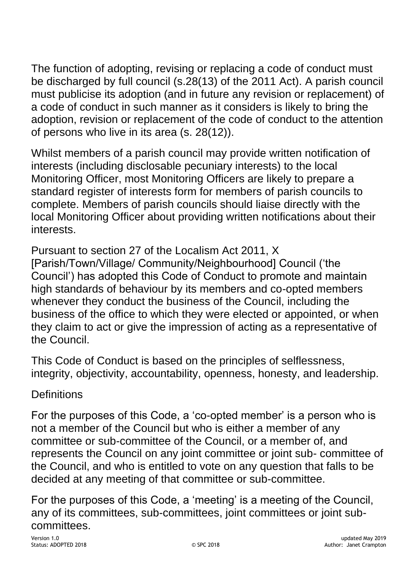The function of adopting, revising or replacing a code of conduct must be discharged by full council (s.28(13) of the 2011 Act). A parish council must publicise its adoption (and in future any revision or replacement) of a code of conduct in such manner as it considers is likely to bring the adoption, revision or replacement of the code of conduct to the attention of persons who live in its area (s. 28(12)).

Whilst members of a parish council may provide written notification of interests (including disclosable pecuniary interests) to the local Monitoring Officer, most Monitoring Officers are likely to prepare a standard register of interests form for members of parish councils to complete. Members of parish councils should liaise directly with the local Monitoring Officer about providing written notifications about their interests.

Pursuant to section 27 of the Localism Act 2011, X [Parish/Town/Village/ Community/Neighbourhood] Council ('the Council') has adopted this Code of Conduct to promote and maintain high standards of behaviour by its members and co-opted members whenever they conduct the business of the Council, including the business of the office to which they were elected or appointed, or when they claim to act or give the impression of acting as a representative of the Council.

This Code of Conduct is based on the principles of selflessness, integrity, objectivity, accountability, openness, honesty, and leadership.

# **Definitions**

For the purposes of this Code, a 'co-opted member' is a person who is not a member of the Council but who is either a member of any committee or sub-committee of the Council, or a member of, and represents the Council on any joint committee or joint sub- committee of the Council, and who is entitled to vote on any question that falls to be decided at any meeting of that committee or sub-committee.

For the purposes of this Code, a 'meeting' is a meeting of the Council, any of its committees, sub-committees, joint committees or joint subcommittees.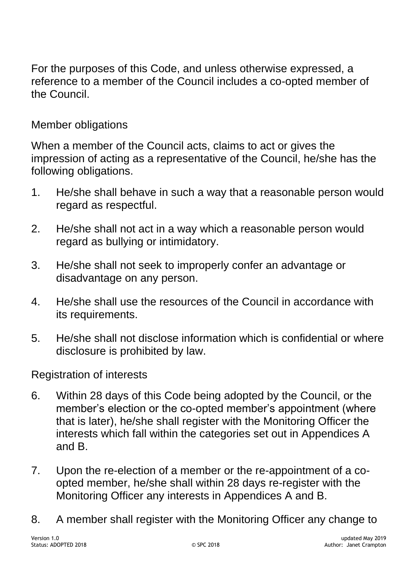For the purposes of this Code, and unless otherwise expressed, a reference to a member of the Council includes a co-opted member of the Council.

# Member obligations

When a member of the Council acts, claims to act or gives the impression of acting as a representative of the Council, he/she has the following obligations.

- 1. He/she shall behave in such a way that a reasonable person would regard as respectful.
- 2. He/she shall not act in a way which a reasonable person would regard as bullying or intimidatory.
- 3. He/she shall not seek to improperly confer an advantage or disadvantage on any person.
- 4. He/she shall use the resources of the Council in accordance with its requirements.
- 5. He/she shall not disclose information which is confidential or where disclosure is prohibited by law.

# Registration of interests

- 6. Within 28 days of this Code being adopted by the Council, or the member's election or the co-opted member's appointment (where that is later), he/she shall register with the Monitoring Officer the interests which fall within the categories set out in Appendices A and B.
- 7. Upon the re-election of a member or the re-appointment of a coopted member, he/she shall within 28 days re-register with the Monitoring Officer any interests in Appendices A and B.
- 8. A member shall register with the Monitoring Officer any change to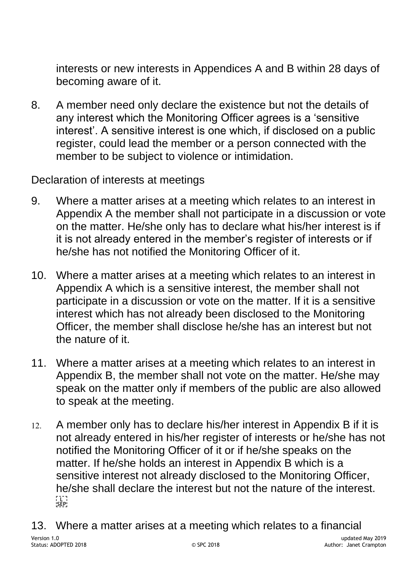interests or new interests in Appendices A and B within 28 days of becoming aware of it.

8. A member need only declare the existence but not the details of any interest which the Monitoring Officer agrees is a 'sensitive interest'. A sensitive interest is one which, if disclosed on a public register, could lead the member or a person connected with the member to be subject to violence or intimidation.

Declaration of interests at meetings

- 9. Where a matter arises at a meeting which relates to an interest in Appendix A the member shall not participate in a discussion or vote on the matter. He/she only has to declare what his/her interest is if it is not already entered in the member's register of interests or if he/she has not notified the Monitoring Officer of it.
- 10. Where a matter arises at a meeting which relates to an interest in Appendix A which is a sensitive interest, the member shall not participate in a discussion or vote on the matter. If it is a sensitive interest which has not already been disclosed to the Monitoring Officer, the member shall disclose he/she has an interest but not the nature of it.
- 11. Where a matter arises at a meeting which relates to an interest in Appendix B, the member shall not vote on the matter. He/she may speak on the matter only if members of the public are also allowed to speak at the meeting.
- 12. A member only has to declare his/her interest in Appendix B if it is not already entered in his/her register of interests or he/she has not notified the Monitoring Officer of it or if he/she speaks on the matter. If he/she holds an interest in Appendix B which is a sensitive interest not already disclosed to the Monitoring Officer, he/she shall declare the interest but not the nature of the interest.  $\begin{bmatrix} 1 \\ \text{SEP} \end{bmatrix}$
- Version 1.0 updated May 2019 © SPC 2018 © SPC 2018 13. Where a matter arises at a meeting which relates to a financial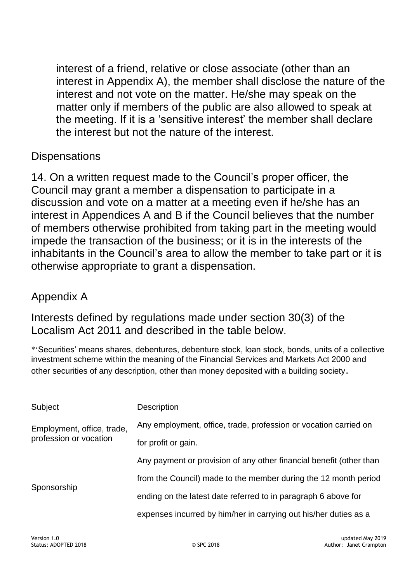interest of a friend, relative or close associate (other than an interest in Appendix A), the member shall disclose the nature of the interest and not vote on the matter. He/she may speak on the matter only if members of the public are also allowed to speak at the meeting. If it is a 'sensitive interest' the member shall declare the interest but not the nature of the interest.

# **Dispensations**

14. On a written request made to the Council's proper officer, the Council may grant a member a dispensation to participate in a discussion and vote on a matter at a meeting even if he/she has an interest in Appendices A and B if the Council believes that the number of members otherwise prohibited from taking part in the meeting would impede the transaction of the business; or it is in the interests of the inhabitants in the Council's area to allow the member to take part or it is otherwise appropriate to grant a dispensation.

# Appendix A

Interests defined by regulations made under section 30(3) of the Localism Act 2011 and described in the table below.

\*'Securities' means shares, debentures, debenture stock, loan stock, bonds, units of a collective investment scheme within the meaning of the Financial Services and Markets Act 2000 and other securities of any description, other than money deposited with a building society.

| Subject                                              | <b>Description</b>                                                  |
|------------------------------------------------------|---------------------------------------------------------------------|
| Employment, office, trade,<br>profession or vocation | Any employment, office, trade, profession or vocation carried on    |
|                                                      | for profit or gain.                                                 |
| Sponsorship                                          | Any payment or provision of any other financial benefit (other than |
|                                                      | from the Council) made to the member during the 12 month period     |
|                                                      | ending on the latest date referred to in paragraph 6 above for      |
|                                                      | expenses incurred by him/her in carrying out his/her duties as a    |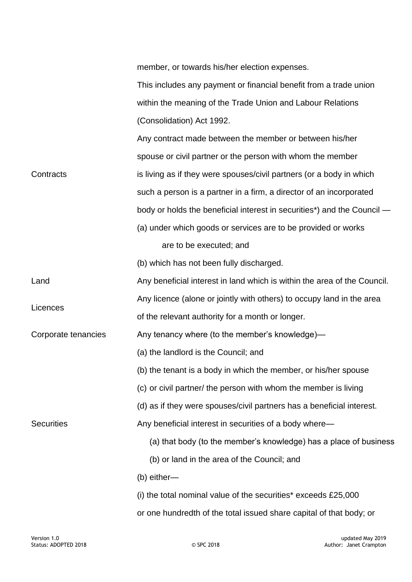member, or towards his/her election expenses.

This includes any payment or financial benefit from a trade union within the meaning of the Trade Union and Labour Relations (Consolidation) Act 1992.

|                     | Any contract made between the member or between his/her                  |
|---------------------|--------------------------------------------------------------------------|
|                     | spouse or civil partner or the person with whom the member               |
| Contracts           | is living as if they were spouses/civil partners (or a body in which     |
|                     | such a person is a partner in a firm, a director of an incorporated      |
|                     | body or holds the beneficial interest in securities*) and the Council —  |
|                     | (a) under which goods or services are to be provided or works            |
|                     | are to be executed; and                                                  |
|                     | (b) which has not been fully discharged.                                 |
| Land                | Any beneficial interest in land which is within the area of the Council. |
| Licences            | Any licence (alone or jointly with others) to occupy land in the area    |
|                     | of the relevant authority for a month or longer.                         |
| Corporate tenancies | Any tenancy where (to the member's knowledge)—                           |
| <b>Securities</b>   | (a) the landlord is the Council; and                                     |
|                     | (b) the tenant is a body in which the member, or his/her spouse          |
|                     | (c) or civil partner/ the person with whom the member is living          |
|                     | (d) as if they were spouses/civil partners has a beneficial interest.    |
|                     | Any beneficial interest in securities of a body where-                   |
|                     | (a) that body (to the member's knowledge) has a place of business        |
|                     | (b) or land in the area of the Council; and                              |
|                     | (b) either-                                                              |
|                     | (i) the total nominal value of the securities* exceeds £25,000           |
|                     | or one hundredth of the total issued share capital of that body; or      |